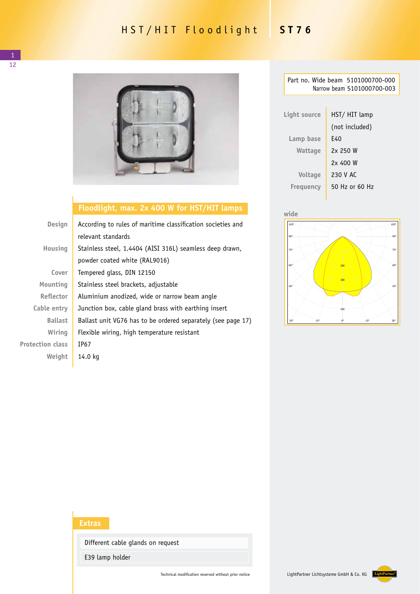## HST/HIT Floodlight **ST76**



## **Floodlight, max. 2x 400 W for HST/HIT lamps**

| Design                  | According to rules of maritime classification societies and  |
|-------------------------|--------------------------------------------------------------|
|                         | relevant standards                                           |
| Housing                 | Stainless steel, 1.4404 (AISI 316L) seamless deep drawn,     |
|                         | powder coated white (RAL9016)                                |
| Cover                   | Tempered glass, DIN 12150                                    |
| Mounting                | Stainless steel brackets, adjustable                         |
| <b>Reflector</b>        | Aluminium anodized, wide or narrow beam angle                |
| Cable entry             | Junction box, cable gland brass with earthing insert         |
| <b>Ballast</b>          | Ballast unit VG76 has to be ordered separately (see page 17) |
| Wiring                  | Flexible wiring, high temperature resistant                  |
| <b>Protection class</b> | IP67                                                         |
| Weight                  | 14.0 kg                                                      |
|                         |                                                              |

| Part no. Wide beam 5101000700-000<br>Narrow beam 5101000700-003 |                |  |  |  |
|-----------------------------------------------------------------|----------------|--|--|--|
|                                                                 |                |  |  |  |
| Light source                                                    | HST/ HIT lamp  |  |  |  |
|                                                                 | (not included) |  |  |  |
| Lamp base                                                       | E40            |  |  |  |
| Wattage                                                         | 2x250W         |  |  |  |
|                                                                 | 2x 400 W       |  |  |  |
| Voltage                                                         | 230 V AC       |  |  |  |
| <b>Freguency</b>                                                | 50 Hz or 60 Hz |  |  |  |
|                                                                 |                |  |  |  |



## **Extras**

Different cable glands on request

E39 lamp holder